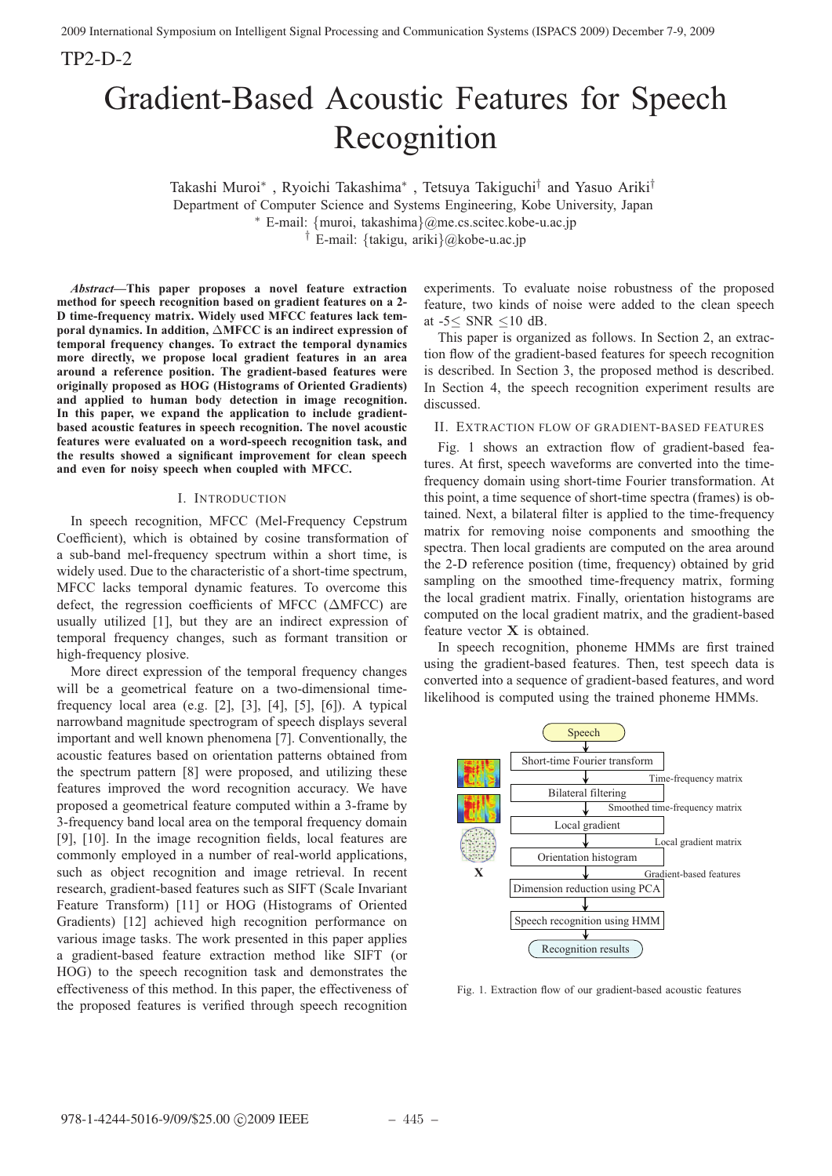TP2-D-2

# Gradient-Based Acoustic Features for Speech Recognition

Takashi Muroi<sup>∗</sup> , Ryoichi Takashima<sup>∗</sup> , Tetsuya Takiguchi† and Yasuo Ariki† Department of Computer Science and Systems Engineering, Kobe University, Japan <sup>∗</sup> E-mail: {muroi, takashima}@me.cs.scitec.kobe-u.ac.jp † E-mail: {takigu, ariki}@kobe-u.ac.jp

*Abstract***—This paper proposes a novel feature extraction method for speech recognition based on gradient features on a 2- D time-frequency matrix. Widely used MFCC features lack temporal dynamics. In addition,** Δ**MFCC is an indirect expression of temporal frequency changes. To extract the temporal dynamics more directly, we propose local gradient features in an area around a reference position. The gradient-based features were originally proposed as HOG (Histograms of Oriented Gradients) and applied to human body detection in image recognition. In this paper, we expand the application to include gradientbased acoustic features in speech recognition. The novel acoustic features were evaluated on a word-speech recognition task, and the results showed a significant improvement for clean speech and even for noisy speech when coupled with MFCC.**

## I. INTRODUCTION

In speech recognition, MFCC (Mel-Frequency Cepstrum Coefficient), which is obtained by cosine transformation of a sub-band mel-frequency spectrum within a short time, is widely used. Due to the characteristic of a short-time spectrum, MFCC lacks temporal dynamic features. To overcome this defect, the regression coefficients of MFCC ( $\triangle$ MFCC) are usually utilized [1], but they are an indirect expression of temporal frequency changes, such as formant transition or high-frequency plosive.

More direct expression of the temporal frequency changes will be a geometrical feature on a two-dimensional timefrequency local area (e.g. [2], [3], [4], [5], [6]). A typical narrowband magnitude spectrogram of speech displays several important and well known phenomena [7]. Conventionally, the acoustic features based on orientation patterns obtained from the spectrum pattern [8] were proposed, and utilizing these features improved the word recognition accuracy. We have proposed a geometrical feature computed within a 3-frame by 3-frequency band local area on the temporal frequency domain [9], [10]. In the image recognition fields, local features are commonly employed in a number of real-world applications, such as object recognition and image retrieval. In recent research, gradient-based features such as SIFT (Scale Invariant Feature Transform) [11] or HOG (Histograms of Oriented Gradients) [12] achieved high recognition performance on various image tasks. The work presented in this paper applies a gradient-based feature extraction method like SIFT (or HOG) to the speech recognition task and demonstrates the effectiveness of this method. In this paper, the effectiveness of the proposed features is verified through speech recognition

experiments. To evaluate noise robustness of the proposed feature, two kinds of noise were added to the clean speech at -5≤ SNR ≤10 dB.

This paper is organized as follows. In Section 2, an extraction flow of the gradient-based features for speech recognition is described. In Section 3, the proposed method is described. In Section 4, the speech recognition experiment results are discussed.

II. EXTRACTION FLOW OF GRADIENT-BASED FEATURES

Fig. 1 shows an extraction flow of gradient-based features. At first, speech waveforms are converted into the timefrequency domain using short-time Fourier transformation. At this point, a time sequence of short-time spectra (frames) is obtained. Next, a bilateral filter is applied to the time-frequency matrix for removing noise components and smoothing the spectra. Then local gradients are computed on the area around the 2-D reference position (time, frequency) obtained by grid sampling on the smoothed time-frequency matrix, forming the local gradient matrix. Finally, orientation histograms are computed on the local gradient matrix, and the gradient-based feature vector **X** is obtained.

In speech recognition, phoneme HMMs are first trained using the gradient-based features. Then, test speech data is converted into a sequence of gradient-based features, and word likelihood is computed using the trained phoneme HMMs.



Fig. 1. Extraction flow of our gradient-based acoustic features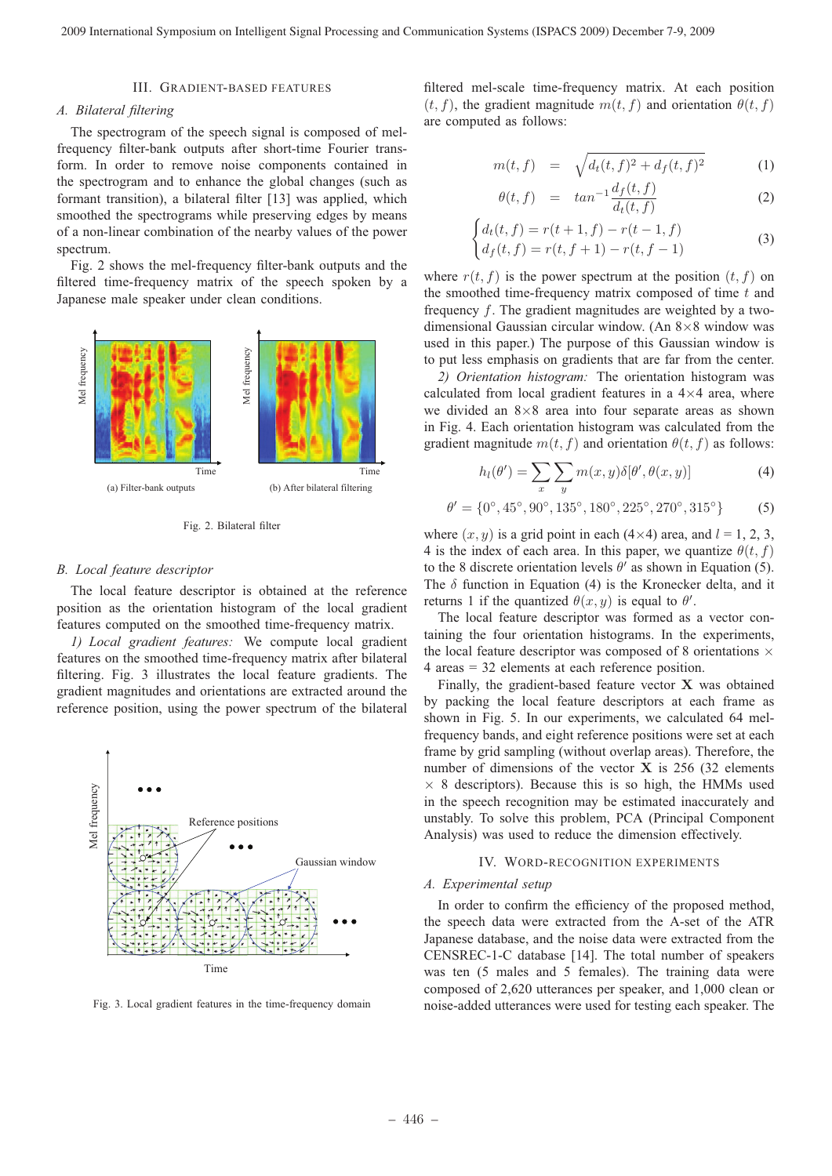# III. GRADIENT-BASED FEATURES

## *A. Bilateral filtering*

The spectrogram of the speech signal is composed of melfrequency filter-bank outputs after short-time Fourier transform. In order to remove noise components contained in the spectrogram and to enhance the global changes (such as formant transition), a bilateral filter [13] was applied, which smoothed the spectrograms while preserving edges by means of a non-linear combination of the nearby values of the power spectrum.

Fig. 2 shows the mel-frequency filter-bank outputs and the filtered time-frequency matrix of the speech spoken by a Japanese male speaker under clean conditions.



Fig. 2. Bilateral filter

#### *B. Local feature descriptor*

The local feature descriptor is obtained at the reference position as the orientation histogram of the local gradient features computed on the smoothed time-frequency matrix.

*1) Local gradient features:* We compute local gradient features on the smoothed time-frequency matrix after bilateral filtering. Fig. 3 illustrates the local feature gradients. The gradient magnitudes and orientations are extracted around the reference position, using the power spectrum of the bilateral



Fig. 3. Local gradient features in the time-frequency domain

filtered mel-scale time-frequency matrix. At each position  $(t, f)$ , the gradient magnitude  $m(t, f)$  and orientation  $\theta(t, f)$ are computed as follows:

$$
m(t,f) = \sqrt{d_t(t,f)^2 + d_f(t,f)^2}
$$
 (1)

$$
\theta(t,f) = \tan^{-1} \frac{d_f(t,f)}{d_t(t,f)} \tag{2}
$$

$$
\begin{cases} d_t(t,f) = r(t+1,f) - r(t-1,f) \\ d_f(t,f) = r(t,f+1) - r(t,f-1) \end{cases}
$$
 (3)

where  $r(t, f)$  is the power spectrum at the position  $(t, f)$  on the smoothed time-frequency matrix composed of time  $t$  and frequency f. The gradient magnitudes are weighted by a twodimensional Gaussian circular window. (An 8×8 window was used in this paper.) The purpose of this Gaussian window is to put less emphasis on gradients that are far from the center.

*2) Orientation histogram:* The orientation histogram was calculated from local gradient features in a  $4\times4$  area, where we divided an  $8\times 8$  area into four separate areas as shown in Fig. 4. Each orientation histogram was calculated from the gradient magnitude  $m(t, f)$  and orientation  $\theta(t, f)$  as follows:

$$
h_l(\theta') = \sum_{x} \sum_{y} m(x, y) \delta[\theta', \theta(x, y)] \tag{4}
$$

$$
\theta' = \{0^{\circ}, 45^{\circ}, 90^{\circ}, 135^{\circ}, 180^{\circ}, 225^{\circ}, 270^{\circ}, 315^{\circ}\}\tag{5}
$$

where  $(x, y)$  is a grid point in each  $(4 \times 4)$  area, and  $l = 1, 2, 3$ , 4 is the index of each area. In this paper, we quantize  $\theta(t, f)$ to the 8 discrete orientation levels  $\theta'$  as shown in Equation (5). The  $\delta$  function in Equation (4) is the Kronecker delta, and it returns 1 if the quantized  $\theta(x, y)$  is equal to  $\theta'$ .

The local feature descriptor was formed as a vector containing the four orientation histograms. In the experiments, the local feature descriptor was composed of 8 orientations  $\times$ 4 areas = 32 elements at each reference position.

Finally, the gradient-based feature vector **X** was obtained by packing the local feature descriptors at each frame as shown in Fig. 5. In our experiments, we calculated 64 melfrequency bands, and eight reference positions were set at each frame by grid sampling (without overlap areas). Therefore, the number of dimensions of the vector  $X$  is 256 (32 elements  $\times$  8 descriptors). Because this is so high, the HMMs used in the speech recognition may be estimated inaccurately and unstably. To solve this problem, PCA (Principal Component Analysis) was used to reduce the dimension effectively.

## IV. WORD-RECOGNITION EXPERIMENTS

#### *A. Experimental setup*

In order to confirm the efficiency of the proposed method, the speech data were extracted from the A-set of the ATR Japanese database, and the noise data were extracted from the CENSREC-1-C database [14]. The total number of speakers was ten (5 males and 5 females). The training data were composed of 2,620 utterances per speaker, and 1,000 clean or noise-added utterances were used for testing each speaker. The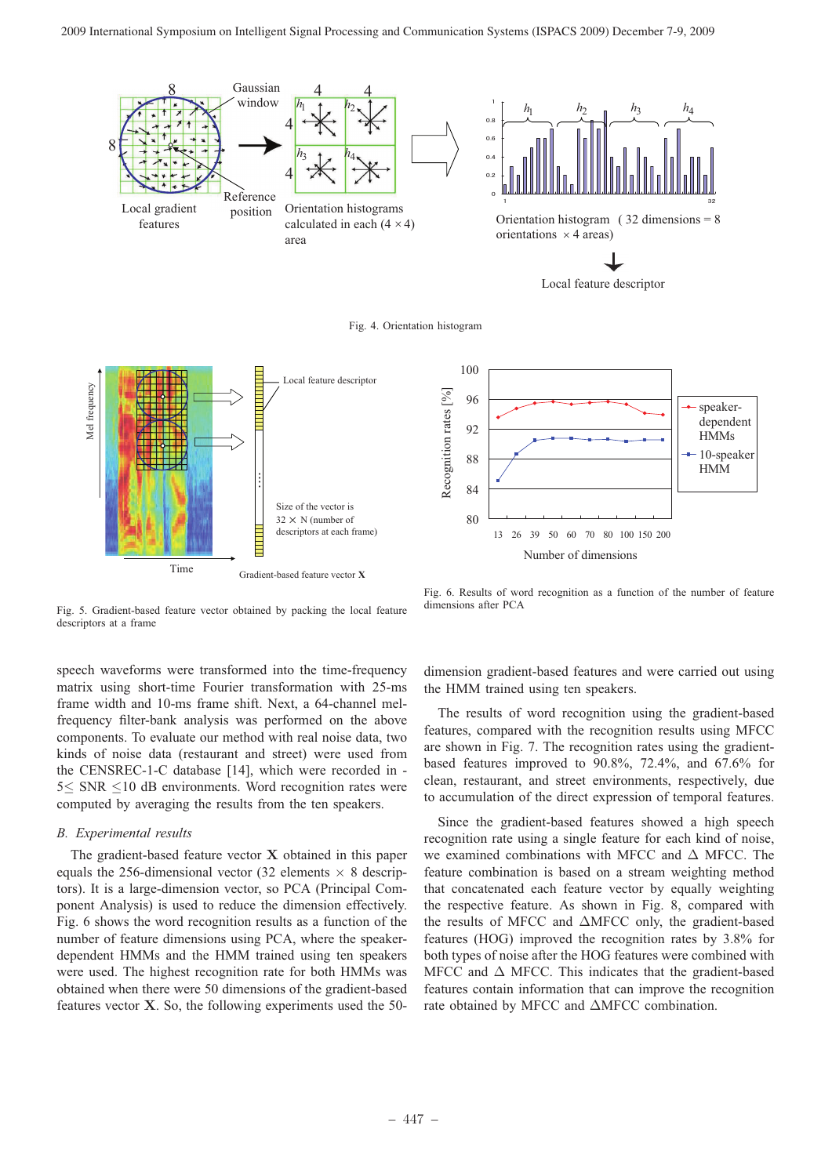

Local feature descriptor

Fig. 4. Orientation histogram





Fig. 5. Gradient-based feature vector obtained by packing the local feature descriptors at a frame

speech waveforms were transformed into the time-frequency matrix using short-time Fourier transformation with 25-ms frame width and 10-ms frame shift. Next, a 64-channel melfrequency filter-bank analysis was performed on the above components. To evaluate our method with real noise data, two kinds of noise data (restaurant and street) were used from the CENSREC-1-C database [14], which were recorded in - 5≤ SNR ≤10 dB environments. Word recognition rates were computed by averaging the results from the ten speakers.

## *B. Experimental results*

The gradient-based feature vector **X** obtained in this paper equals the 256-dimensional vector (32 elements  $\times$  8 descriptors). It is a large-dimension vector, so PCA (Principal Component Analysis) is used to reduce the dimension effectively. Fig. 6 shows the word recognition results as a function of the number of feature dimensions using PCA, where the speakerdependent HMMs and the HMM trained using ten speakers were used. The highest recognition rate for both HMMs was obtained when there were 50 dimensions of the gradient-based features vector **X**. So, the following experiments used the 50-

Fig. 6. Results of word recognition as a function of the number of feature dimensions after PCA

dimension gradient-based features and were carried out using the HMM trained using ten speakers.

The results of word recognition using the gradient-based features, compared with the recognition results using MFCC are shown in Fig. 7. The recognition rates using the gradientbased features improved to 90.8%, 72.4%, and 67.6% for clean, restaurant, and street environments, respectively, due to accumulation of the direct expression of temporal features.

Since the gradient-based features showed a high speech recognition rate using a single feature for each kind of noise, we examined combinations with MFCC and  $\Delta$  MFCC. The feature combination is based on a stream weighting method that concatenated each feature vector by equally weighting the respective feature. As shown in Fig. 8, compared with the results of MFCC and ΔMFCC only, the gradient-based features (HOG) improved the recognition rates by 3.8% for both types of noise after the HOG features were combined with MFCC and  $\Delta$  MFCC. This indicates that the gradient-based features contain information that can improve the recognition rate obtained by MFCC and ΔMFCC combination.